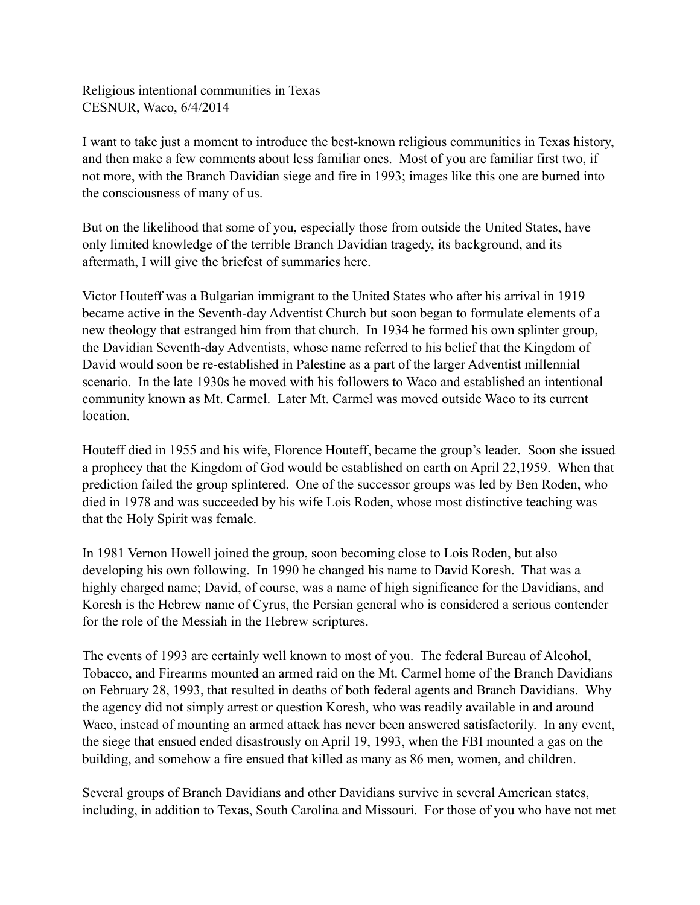Religious intentional communities in Texas CESNUR, Waco, 6/4/2014

I want to take just a moment to introduce the best-known religious communities in Texas history, and then make a few comments about less familiar ones. Most of you are familiar first two, if not more, with the Branch Davidian siege and fire in 1993; images like this one are burned into the consciousness of many of us.

But on the likelihood that some of you, especially those from outside the United States, have only limited knowledge of the terrible Branch Davidian tragedy, its background, and its aftermath, I will give the briefest of summaries here.

Victor Houteff was a Bulgarian immigrant to the United States who after his arrival in 1919 became active in the Seventh-day Adventist Church but soon began to formulate elements of a new theology that estranged him from that church. In 1934 he formed his own splinter group, the Davidian Seventh-day Adventists, whose name referred to his belief that the Kingdom of David would soon be re-established in Palestine as a part of the larger Adventist millennial scenario. In the late 1930s he moved with his followers to Waco and established an intentional community known as Mt. Carmel. Later Mt. Carmel was moved outside Waco to its current location.

Houteff died in 1955 and his wife, Florence Houteff, became the group's leader. Soon she issued a prophecy that the Kingdom of God would be established on earth on April 22,1959. When that prediction failed the group splintered. One of the successor groups was led by Ben Roden, who died in 1978 and was succeeded by his wife Lois Roden, whose most distinctive teaching was that the Holy Spirit was female.

In 1981 Vernon Howell joined the group, soon becoming close to Lois Roden, but also developing his own following. In 1990 he changed his name to David Koresh. That was a highly charged name; David, of course, was a name of high significance for the Davidians, and Koresh is the Hebrew name of Cyrus, the Persian general who is considered a serious contender for the role of the Messiah in the Hebrew scriptures.

The events of 1993 are certainly well known to most of you. The federal Bureau of Alcohol, Tobacco, and Firearms mounted an armed raid on the Mt. Carmel home of the Branch Davidians on February 28, 1993, that resulted in deaths of both federal agents and Branch Davidians. Why the agency did not simply arrest or question Koresh, who was readily available in and around Waco, instead of mounting an armed attack has never been answered satisfactorily. In any event, the siege that ensued ended disastrously on April 19, 1993, when the FBI mounted a gas on the building, and somehow a fire ensued that killed as many as 86 men, women, and children.

Several groups of Branch Davidians and other Davidians survive in several American states, including, in addition to Texas, South Carolina and Missouri. For those of you who have not met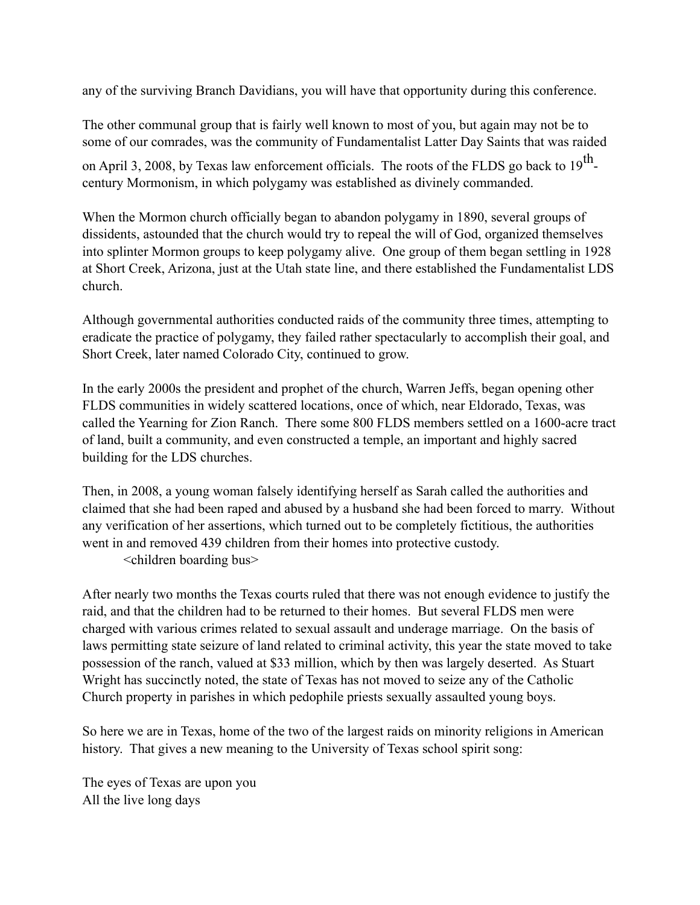any of the surviving Branch Davidians, you will have that opportunity during this conference.

The other communal group that is fairly well known to most of you, but again may not be to some of our comrades, was the community of Fundamentalist Latter Day Saints that was raided

on April 3, 2008, by Texas law enforcement officials. The roots of the FLDS go back to 19<sup>th</sup>century Mormonism, in which polygamy was established as divinely commanded.

When the Mormon church officially began to abandon polygamy in 1890, several groups of dissidents, astounded that the church would try to repeal the will of God, organized themselves into splinter Mormon groups to keep polygamy alive. One group of them began settling in 1928 at Short Creek, Arizona, just at the Utah state line, and there established the Fundamentalist LDS church.

Although governmental authorities conducted raids of the community three times, attempting to eradicate the practice of polygamy, they failed rather spectacularly to accomplish their goal, and Short Creek, later named Colorado City, continued to grow.

In the early 2000s the president and prophet of the church, Warren Jeffs, began opening other FLDS communities in widely scattered locations, once of which, near Eldorado, Texas, was called the Yearning for Zion Ranch. There some 800 FLDS members settled on a 1600-acre tract of land, built a community, and even constructed a temple, an important and highly sacred building for the LDS churches.

Then, in 2008, a young woman falsely identifying herself as Sarah called the authorities and claimed that she had been raped and abused by a husband she had been forced to marry. Without any verification of her assertions, which turned out to be completely fictitious, the authorities went in and removed 439 children from their homes into protective custody. <children boarding bus>

After nearly two months the Texas courts ruled that there was not enough evidence to justify the raid, and that the children had to be returned to their homes. But several FLDS men were charged with various crimes related to sexual assault and underage marriage. On the basis of laws permitting state seizure of land related to criminal activity, this year the state moved to take possession of the ranch, valued at \$33 million, which by then was largely deserted. As Stuart Wright has succinctly noted, the state of Texas has not moved to seize any of the Catholic Church property in parishes in which pedophile priests sexually assaulted young boys.

So here we are in Texas, home of the two of the largest raids on minority religions in American history. That gives a new meaning to the University of Texas school spirit song:

The eyes of Texas are upon you All the live long days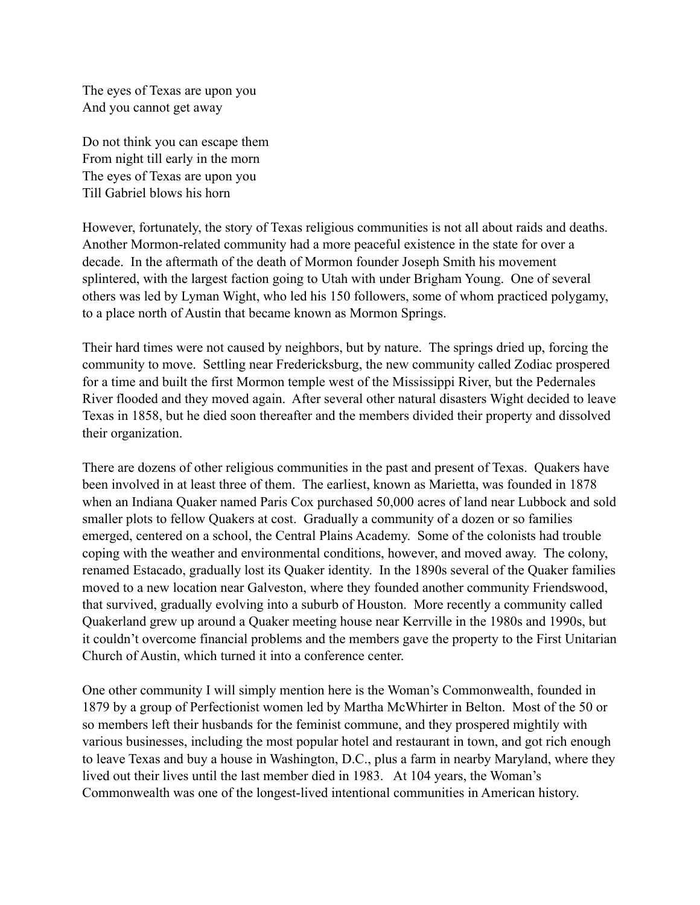The eyes of Texas are upon you And you cannot get away

Do not think you can escape them From night till early in the morn The eyes of Texas are upon you Till Gabriel blows his horn

However, fortunately, the story of Texas religious communities is not all about raids and deaths. Another Mormon-related community had a more peaceful existence in the state for over a decade. In the aftermath of the death of Mormon founder Joseph Smith his movement splintered, with the largest faction going to Utah with under Brigham Young. One of several others was led by Lyman Wight, who led his 150 followers, some of whom practiced polygamy, to a place north of Austin that became known as Mormon Springs.

Their hard times were not caused by neighbors, but by nature. The springs dried up, forcing the community to move. Settling near Fredericksburg, the new community called Zodiac prospered for a time and built the first Mormon temple west of the Mississippi River, but the Pedernales River flooded and they moved again. After several other natural disasters Wight decided to leave Texas in 1858, but he died soon thereafter and the members divided their property and dissolved their organization.

There are dozens of other religious communities in the past and present of Texas. Quakers have been involved in at least three of them. The earliest, known as Marietta, was founded in 1878 when an Indiana Quaker named Paris Cox purchased 50,000 acres of land near Lubbock and sold smaller plots to fellow Quakers at cost. Gradually a community of a dozen or so families emerged, centered on a school, the Central Plains Academy. Some of the colonists had trouble coping with the weather and environmental conditions, however, and moved away. The colony, renamed Estacado, gradually lost its Quaker identity. In the 1890s several of the Quaker families moved to a new location near Galveston, where they founded another community Friendswood, that survived, gradually evolving into a suburb of Houston. More recently a community called Quakerland grew up around a Quaker meeting house near Kerrville in the 1980s and 1990s, but it couldn't overcome financial problems and the members gave the property to the First Unitarian Church of Austin, which turned it into a conference center.

One other community I will simply mention here is the Woman's Commonwealth, founded in 1879 by a group of Perfectionist women led by Martha McWhirter in Belton. Most of the 50 or so members left their husbands for the feminist commune, and they prospered mightily with various businesses, including the most popular hotel and restaurant in town, and got rich enough to leave Texas and buy a house in Washington, D.C., plus a farm in nearby Maryland, where they lived out their lives until the last member died in 1983. At 104 years, the Woman's Commonwealth was one of the longest-lived intentional communities in American history.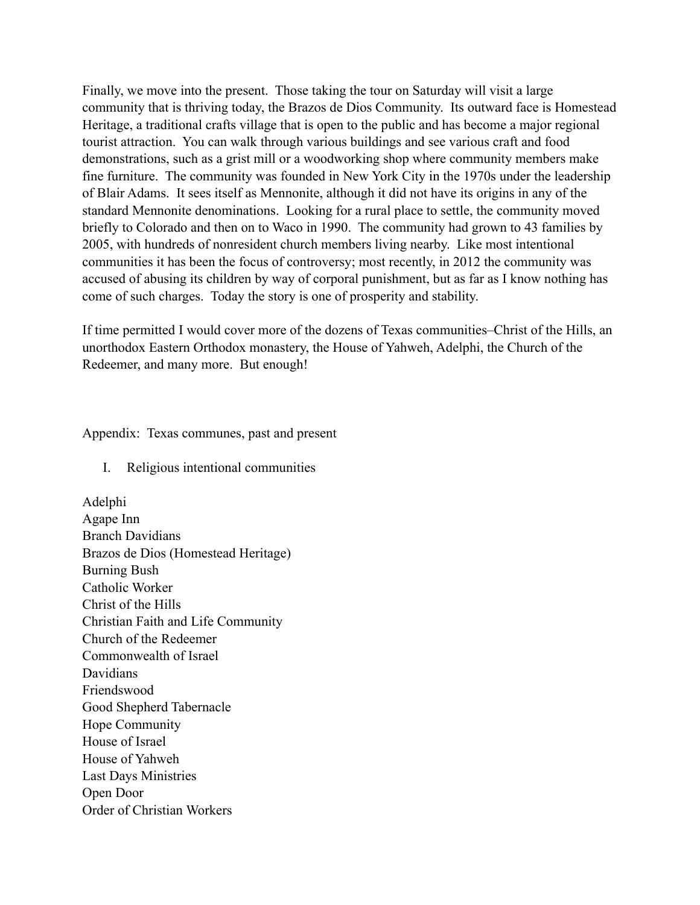Finally, we move into the present. Those taking the tour on Saturday will visit a large community that is thriving today, the Brazos de Dios Community. Its outward face is Homestead Heritage, a traditional crafts village that is open to the public and has become a major regional tourist attraction. You can walk through various buildings and see various craft and food demonstrations, such as a grist mill or a woodworking shop where community members make fine furniture. The community was founded in New York City in the 1970s under the leadership of Blair Adams. It sees itself as Mennonite, although it did not have its origins in any of the standard Mennonite denominations. Looking for a rural place to settle, the community moved briefly to Colorado and then on to Waco in 1990. The community had grown to 43 families by 2005, with hundreds of nonresident church members living nearby. Like most intentional communities it has been the focus of controversy; most recently, in 2012 the community was accused of abusing its children by way of corporal punishment, but as far as I know nothing has come of such charges. Today the story is one of prosperity and stability.

If time permitted I would cover more of the dozens of Texas communities–Christ of the Hills, an unorthodox Eastern Orthodox monastery, the House of Yahweh, Adelphi, the Church of the Redeemer, and many more. But enough!

Appendix: Texas communes, past and present

I. Religious intentional communities

Adelphi Agape Inn Branch Davidians Brazos de Dios (Homestead Heritage) Burning Bush Catholic Worker Christ of the Hills Christian Faith and Life Community Church of the Redeemer Commonwealth of Israel **Davidians** Friendswood Good Shepherd Tabernacle Hope Community House of Israel House of Yahweh Last Days Ministries Open Door Order of Christian Workers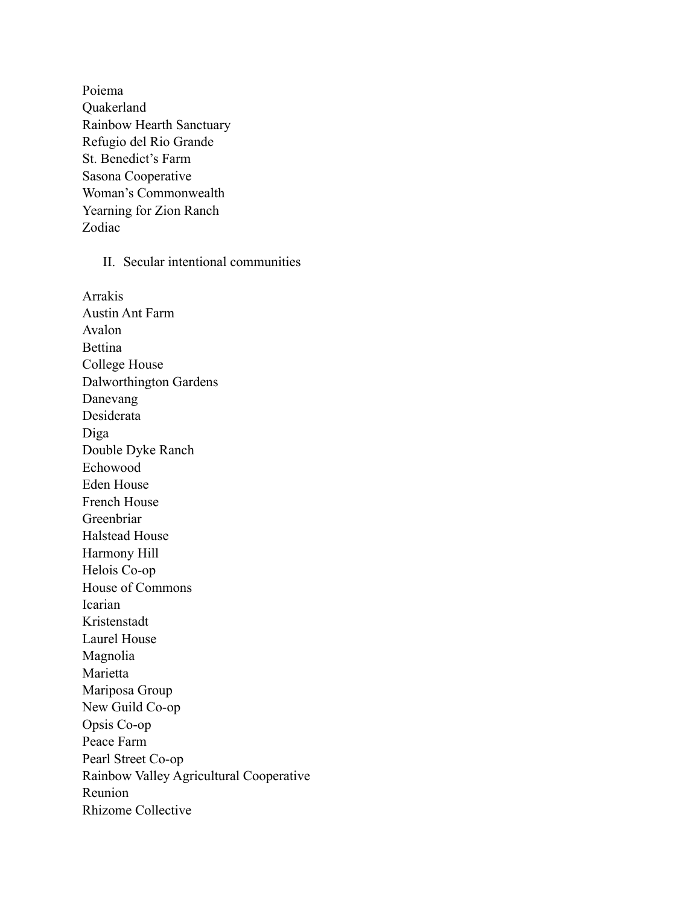Poiema Quakerland Rainbow Hearth Sanctuary Refugio del Rio Grande St. Benedict's Farm Sasona Cooperative Woman's Commonwealth Yearning for Zion Ranch Zodiac

II. Secular intentional communities

Arrakis Austin Ant Farm Avalon Bettina College House Dalworthington Gardens Danevang Desiderata Diga Double Dyke Ranch Echowood Eden House French House Greenbriar Halstead House Harmony Hill Helois Co-op House of Commons Icarian Kristenstadt Laurel House Magnolia Marietta Mariposa Group New Guild Co-op Opsis Co-op Peace Farm Pearl Street Co-op Rainbow Valley Agricultural Cooperative Reunion Rhizome Collective